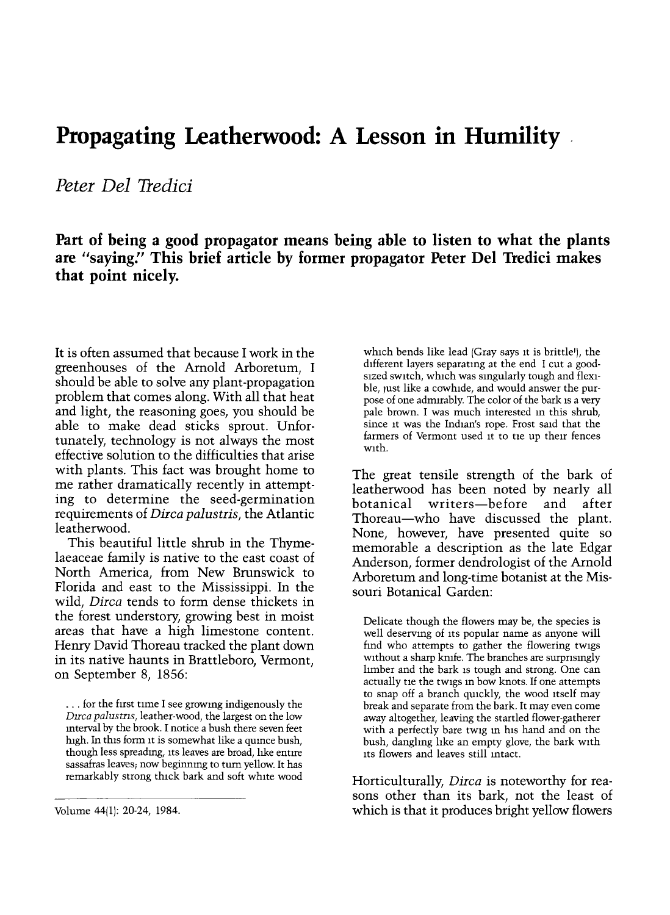## Propagating Leatherwood: A Lesson in Humility

Peter Del Tredici

Part of being a good propagator means being able to listen to what the plants are "saying." This brief article by former propagator Peter Del Tredici makes that point nicely.

It is often assumed that because I work in the greenhouses of the Arnold Arboretum, I should be able to solve any plant-propagation problem that comes along. With all that heat and light, the reasoning goes, you should be able to make dead sticks sprout. Unfortunately, technology is not always the most effective solution to the difficulties that arise with plants. This fact was brought home to me rather dramatically recently in attempting to determine the seed-germination requirements of Dirca palustris, the Atlantic leatherwood.

This beautiful little shrub in the Thymelaeaceae family is native to the east coast of North America, from New Brunswick to Florida and east to the Mississippi. In the wild, Dirca tends to form dense thickets in the forest understory, growing best in moist areas that have a high limestone content. Henry David Thoreau tracked the plant down in its native haunts in Brattleboro, Vermont, on September 8, 1856:

... for the first time I see growing indigenously the Dirca palustris, leather-wood, the largest on the low interval by the brook. I notice a bush there seven feet high. In this form it is somewhat like a quince bush, though less spreading, its leaves are broad, like entire sassafras leaves; now beginning to turn yellow. It has remarkably strong thick bark and soft white wood

Volume 44(1): 20-24, 1984.

which bends like lead (Gray says it is brittle'), the different layers separating at the end I cut a goodsized switch, which was singularly tough and flexible, just like a cowhide, and would answer the purpose of one admirably. The color of the bark is a very pale brown. I was much interested in this shrub, since it was the Indian's rope. Frost said that the farmers of Vermont used it to tie up their fences with.

The great tensile strength of the bark of leatherwood has been noted by nearly all writers-before and after Thoreau-who have discussed the plant. None, however, have presented quite so memorable a description as the late Edgar Anderson, former dendrologist of the Arnold Arboretum and long-time botanist at the Missouri Botanical Garden:

Delicate though the flowers may be, the species is well deserving of its popular name as anyone will find who attempts to gather the flowering twigs without a sharp knife. The branches are surprisingly limber and the bark is tough and strong. One can actually tie the twigs m bow knots. If one attempts to snap off a branch quickly, the wood itself may break and separate from the bark. It may even come away altogether, leaving the startled flower-gatherer with a perfectly bare twig m his hand and on the bush, dangling like an empty glove, the bark with its flowers and leaves still intact.

Horticulturally, Dirca is noteworthy for reasons other than its bark, not the least of which is that it produces bright yellow flowers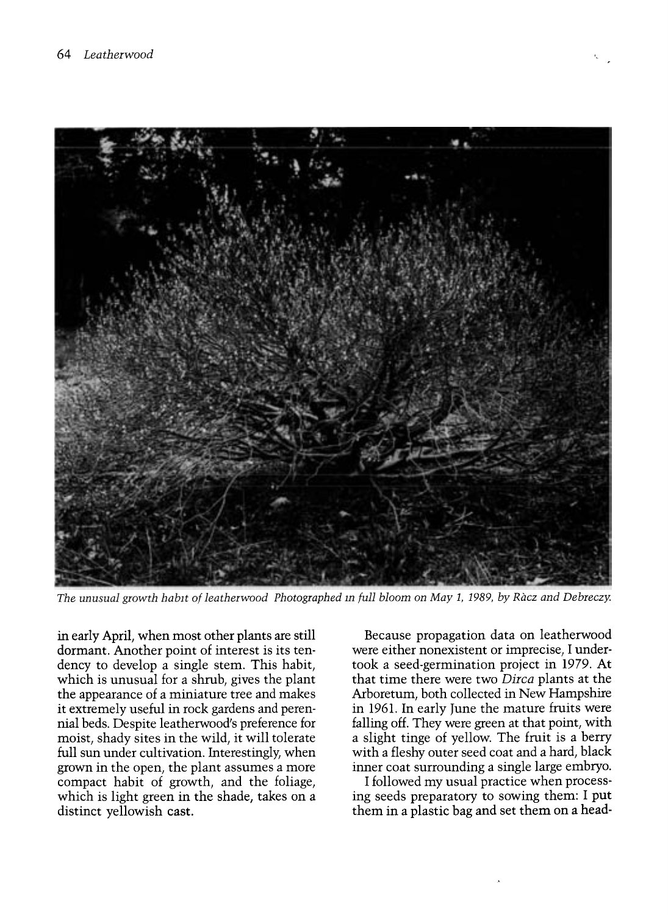

The unusual growth habit of leatherwood Photographed in full bloom on May 1, 1989, by Racz and Debreczy.

in early April, when most other plants are still dormant. Another point of interest is its tendency to develop a single stem. This habit, which is unusual for a shrub, gives the plant the appearance of a miniature tree and makes it extremely useful in rock gardens and perennial beds. Despite leatherwood's preference for moist, shady sites in the wild, it will tolerate full sun under cultivation. Interestingly, when grown in the open, the plant assumes a more compact habit of growth, and the foliage, which is light green in the shade, takes on a distinct yellowish cast.

Because propagation data on leatherwood were either nonexistent or imprecise, I undertook a seed-germination project in 1979. At that time there were two Dirca plants at the Arboretum, both collected in New Hampshire in 1961. In early June the mature fruits were falling off. They were green at that point, with a slight tinge of yellow. The fruit is a berry with a fleshy outer seed coat and a hard, black inner coat surrounding a single large embryo.

I followed my usual practice when processing seeds preparatory to sowing them: I put them in a plastic bag and set them on a head-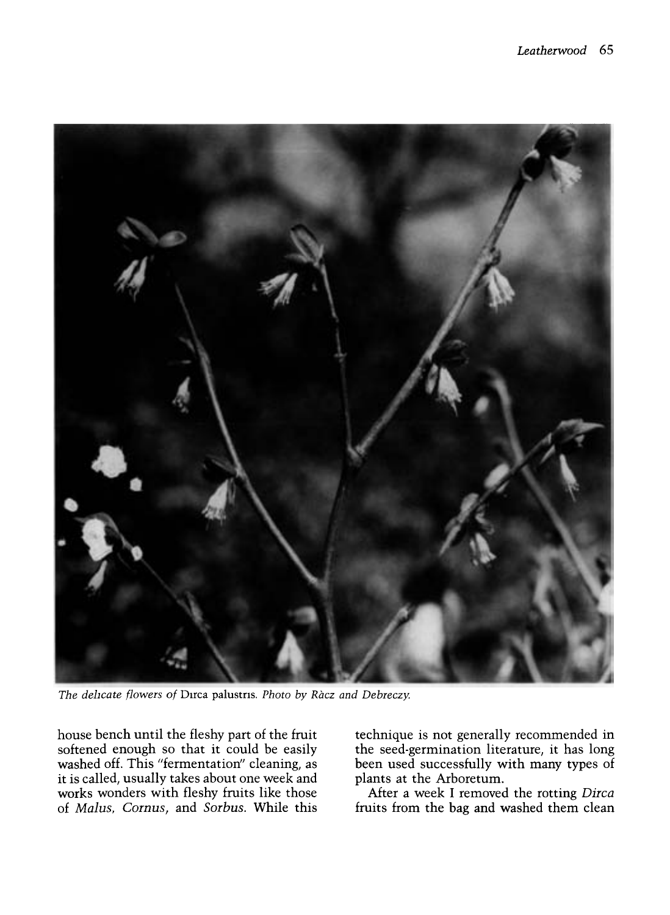

The delicate flowers of Dirca palustris. Photo by Ràcz and Debreczy.

house bench until the fleshy part of the fruit softened enough so that it could be easily washed off. This "fermentation" cleaning, as it is called, usually takes about one week and works wonders with fleshy fruits like those of Malus, Cornus, and Sorbus. While this technique is not generally recommended in the seed-germination literature, it has long been used successfully with many types of plants at the Arboretum.

After a week I removed the rotting Dirca fruits from the bag and washed them clean